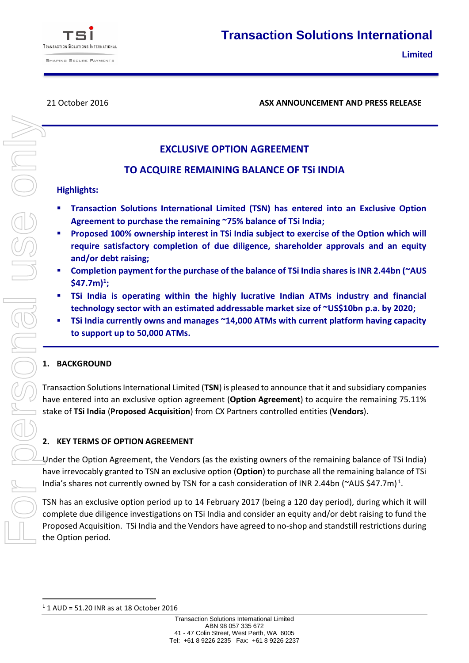

21 October 2016 **ASX ANNOUNCEMENT AND PRESS RELEASE**

# **EXCLUSIVE OPTION AGREEMENT**

## **TO ACQUIRE REMAINING BALANCE OF TSi INDIA**

#### **Highlights:**

- **Transaction Solutions International Limited (TSN) has entered into an Exclusive Option Agreement to purchase the remaining ~75% balance of TSi India;**
- **Proposed 100% ownership interest in TSi India subject to exercise of the Option which will require satisfactory completion of due diligence, shareholder approvals and an equity and/or debt raising;**
- **Completion payment for the purchase of the balance of TSi India shares is INR 2.44bn (~AUS \$47.7m)<sup>1</sup> ;**
- **TSi India is operating within the highly lucrative Indian ATMs industry and financial technology sector with an estimated addressable market size of ~US\$10bn p.a. by 2020;**
- **TSi India currently owns and manages ~14,000 ATMs with current platform having capacity to support up to 50,000 ATMs.**

## **1. BACKGROUND**

Transaction Solutions International Limited (**TSN**) is pleased to announce that it and subsidiary companies have entered into an exclusive option agreement (**Option Agreement**) to acquire the remaining 75.11% stake of **TSi India** (**Proposed Acquisition**) from CX Partners controlled entities (**Vendors**).

## **2. KEY TERMS OF OPTION AGREEMENT**

Under the Option Agreement, the Vendors (as the existing owners of the remaining balance of TSi India) have irrevocably granted to TSN an exclusive option (**Option**) to purchase all the remaining balance of TSi India's shares not currently owned by TSN for a cash consideration of INR 2.44bn (~AUS \$47.7m)<sup>1</sup>.

TSN has an exclusive option period up to 14 February 2017 (being a 120 day period), during which it will complete due diligence investigations on TSi India and consider an equity and/or debt raising to fund the Proposed Acquisition. TSi India and the Vendors have agreed to no-shop and standstill restrictions during the Option period.

**<sup>.</sup>**  $1$  1 AUD = 51.20 INR as at 18 October 2016